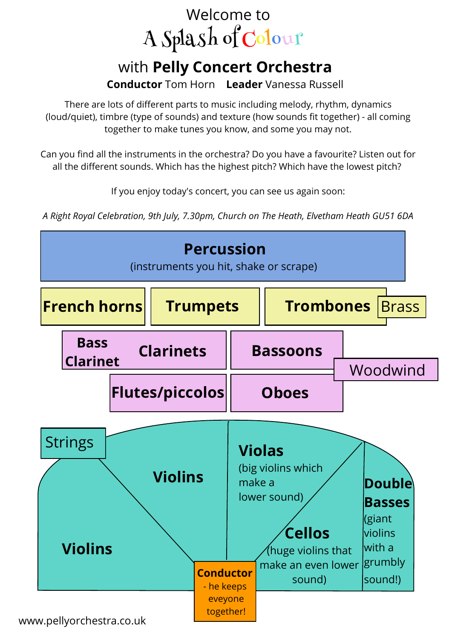# A Splash of Colour Welcome to

## with **Pelly Concert Orchestra**

**Conductor** Tom Horn **Leader** Vanessa Russell

There are lots of different parts to music including melody, rhythm, dynamics (loud/quiet), timbre (type of sounds) and texture (how sounds fit together) - all coming together to make tunes you know, and some you may not.

Can you find all the instruments in the orchestra? Do you have a favourite? Listen out for all the different sounds. Which has the highest pitch? Which have the lowest pitch?

If you enjoy today's concert, you can see us again soon:

*A Right Royal Celebration, 9th July, 7.30pm, Church on The Heath, Elvetham Heath GU51 6DA*